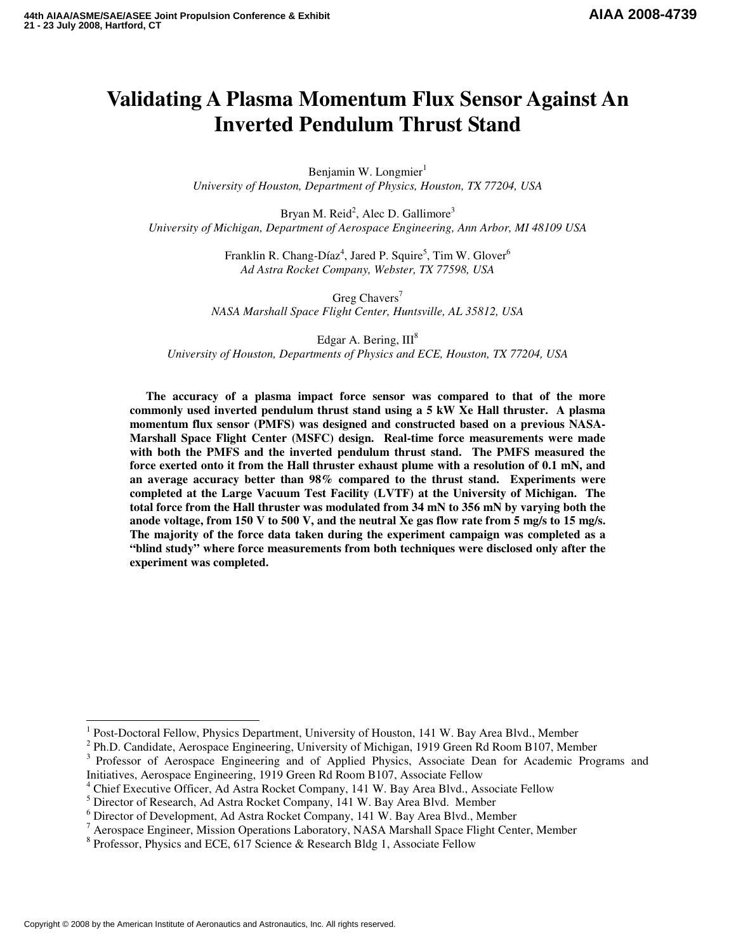# **Validating A Plasma Momentum Flux Sensor Against An Inverted Pendulum Thrust Stand**

Benjamin W. Longmier $<sup>1</sup>$ </sup> *University of Houston, Department of Physics, Houston, TX 77204, USA* 

Bryan M. Reid<sup>2</sup>, Alec D. Gallimore<sup>3</sup> *University of Michigan, Department of Aerospace Engineering, Ann Arbor, MI 48109 USA* 

> Franklin R. Chang-Díaz<sup>4</sup>, Jared P. Squire<sup>5</sup>, Tim W. Glover<sup>6</sup> *Ad Astra Rocket Company, Webster, TX 77598, USA*

Greg Chavers<sup>7</sup> *NASA Marshall Space Flight Center, Huntsville, AL 35812, USA* 

Edgar A. Bering,  $III<sup>8</sup>$ *University of Houston, Departments of Physics and ECE, Houston, TX 77204, USA* 

**The accuracy of a plasma impact force sensor was compared to that of the more commonly used inverted pendulum thrust stand using a 5 kW Xe Hall thruster. A plasma momentum flux sensor (PMFS) was designed and constructed based on a previous NASA-Marshall Space Flight Center (MSFC) design. Real-time force measurements were made with both the PMFS and the inverted pendulum thrust stand. The PMFS measured the force exerted onto it from the Hall thruster exhaust plume with a resolution of 0.1 mN, and an average accuracy better than 98% compared to the thrust stand. Experiments were completed at the Large Vacuum Test Facility (LVTF) at the University of Michigan. The total force from the Hall thruster was modulated from 34 mN to 356 mN by varying both the anode voltage, from 150 V to 500 V, and the neutral Xe gas flow rate from 5 mg/s to 15 mg/s. The majority of the force data taken during the experiment campaign was completed as a "blind study" where force measurements from both techniques were disclosed only after the experiment was completed.** 

l

<sup>1</sup> Post-Doctoral Fellow, Physics Department, University of Houston, 141 W. Bay Area Blvd., Member

<sup>&</sup>lt;sup>2</sup> Ph.D. Candidate, Aerospace Engineering, University of Michigan, 1919 Green Rd Room B107, Member

<sup>&</sup>lt;sup>3</sup> Professor of Aerospace Engineering and of Applied Physics, Associate Dean for Academic Programs and Initiatives, Aerospace Engineering, 1919 Green Rd Room B107, Associate Fellow

<sup>&</sup>lt;sup>4</sup> Chief Executive Officer, Ad Astra Rocket Company, 141 W. Bay Area Blvd., Associate Fellow

<sup>&</sup>lt;sup>5</sup> Director of Research, Ad Astra Rocket Company, 141 W. Bay Area Blvd. Member

<sup>6</sup> Director of Development, Ad Astra Rocket Company, 141 W. Bay Area Blvd., Member

<sup>&</sup>lt;sup>7</sup> Aerospace Engineer, Mission Operations Laboratory, NASA Marshall Space Flight Center, Member

<sup>&</sup>lt;sup>8</sup> Professor, Physics and ECE, 617 Science & Research Bldg 1, Associate Fellow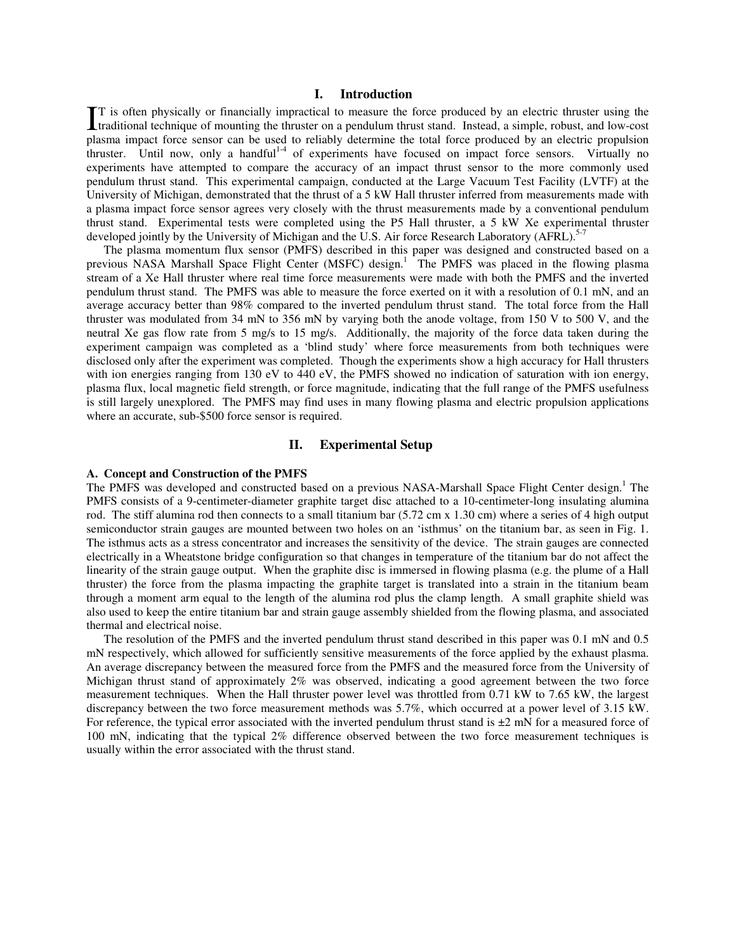# **I. Introduction**

T is often physically or financially impractical to measure the force produced by an electric thruster using the It is often physically or financially impractical to measure the force produced by an electric thruster using the thruster of mounting the thruster on a pendulum thrust stand. Instead, a simple, robust, and low-cost plasma impact force sensor can be used to reliably determine the total force produced by an electric propulsion thruster. Until now, only a handful<sup>1-4</sup> of experiments have focused on impact force sensors. Virtually no experiments have attempted to compare the accuracy of an impact thrust sensor to the more commonly used pendulum thrust stand. This experimental campaign, conducted at the Large Vacuum Test Facility (LVTF) at the University of Michigan, demonstrated that the thrust of a 5 kW Hall thruster inferred from measurements made with a plasma impact force sensor agrees very closely with the thrust measurements made by a conventional pendulum thrust stand. Experimental tests were completed using the P5 Hall thruster, a 5 kW Xe experimental thruster developed jointly by the University of Michigan and the U.S. Air force Research Laboratory (AFRL).<sup>5-7</sup>

 The plasma momentum flux sensor (PMFS) described in this paper was designed and constructed based on a previous NASA Marshall Space Flight Center (MSFC) design.<sup>1</sup> The PMFS was placed in the flowing plasma stream of a Xe Hall thruster where real time force measurements were made with both the PMFS and the inverted pendulum thrust stand. The PMFS was able to measure the force exerted on it with a resolution of 0.1 mN, and an average accuracy better than 98% compared to the inverted pendulum thrust stand. The total force from the Hall thruster was modulated from 34 mN to 356 mN by varying both the anode voltage, from 150 V to 500 V, and the neutral Xe gas flow rate from 5 mg/s to 15 mg/s. Additionally, the majority of the force data taken during the experiment campaign was completed as a 'blind study' where force measurements from both techniques were disclosed only after the experiment was completed. Though the experiments show a high accuracy for Hall thrusters with ion energies ranging from 130 eV to 440 eV, the PMFS showed no indication of saturation with ion energy, plasma flux, local magnetic field strength, or force magnitude, indicating that the full range of the PMFS usefulness is still largely unexplored. The PMFS may find uses in many flowing plasma and electric propulsion applications where an accurate, sub-\$500 force sensor is required.

# **II. Experimental Setup**

# **A. Concept and Construction of the PMFS**

The PMFS was developed and constructed based on a previous NASA-Marshall Space Flight Center design.<sup>1</sup> The PMFS consists of a 9-centimeter-diameter graphite target disc attached to a 10-centimeter-long insulating alumina rod. The stiff alumina rod then connects to a small titanium bar (5.72 cm x 1.30 cm) where a series of 4 high output semiconductor strain gauges are mounted between two holes on an 'isthmus' on the titanium bar, as seen in Fig. 1. The isthmus acts as a stress concentrator and increases the sensitivity of the device. The strain gauges are connected electrically in a Wheatstone bridge configuration so that changes in temperature of the titanium bar do not affect the linearity of the strain gauge output. When the graphite disc is immersed in flowing plasma (e.g. the plume of a Hall thruster) the force from the plasma impacting the graphite target is translated into a strain in the titanium beam through a moment arm equal to the length of the alumina rod plus the clamp length. A small graphite shield was also used to keep the entire titanium bar and strain gauge assembly shielded from the flowing plasma, and associated thermal and electrical noise.

The resolution of the PMFS and the inverted pendulum thrust stand described in this paper was 0.1 mN and 0.5 mN respectively, which allowed for sufficiently sensitive measurements of the force applied by the exhaust plasma. An average discrepancy between the measured force from the PMFS and the measured force from the University of Michigan thrust stand of approximately 2% was observed, indicating a good agreement between the two force measurement techniques. When the Hall thruster power level was throttled from 0.71 kW to 7.65 kW, the largest discrepancy between the two force measurement methods was 5.7%, which occurred at a power level of 3.15 kW. For reference, the typical error associated with the inverted pendulum thrust stand is  $\pm 2$  mN for a measured force of 100 mN, indicating that the typical 2% difference observed between the two force measurement techniques is usually within the error associated with the thrust stand.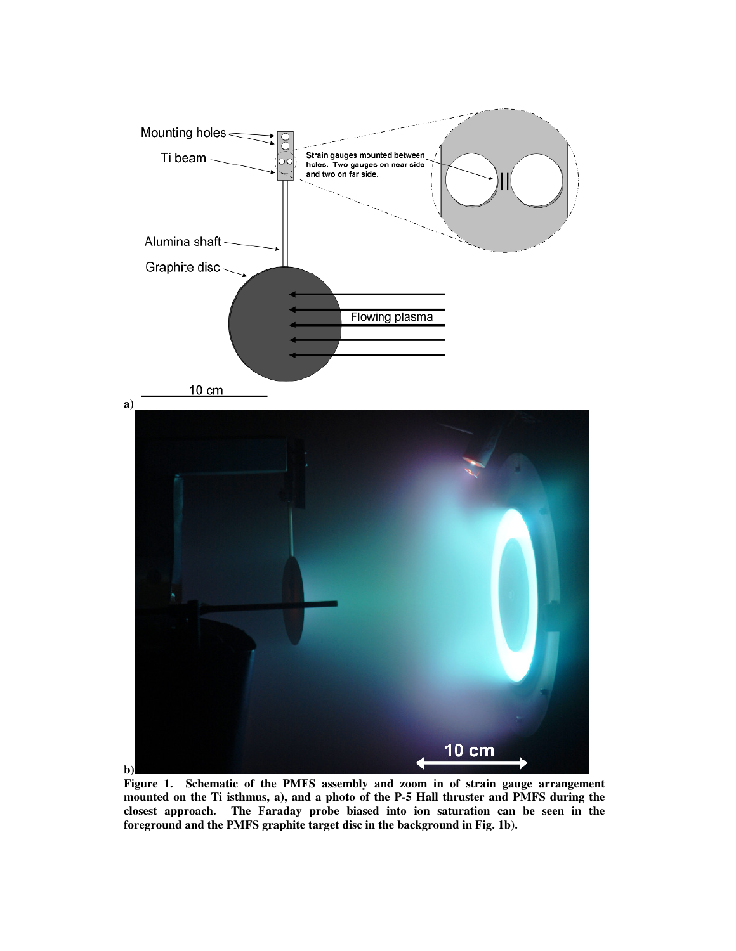

**Figure 1. Schematic of the PMFS assembly and zoom in of strain gauge arrangement mounted on the Ti isthmus, a), and a photo of the P-5 Hall thruster and PMFS during the closest approach. The Faraday probe biased into ion saturation can be seen in the foreground and the PMFS graphite target disc in the background in Fig. 1b).**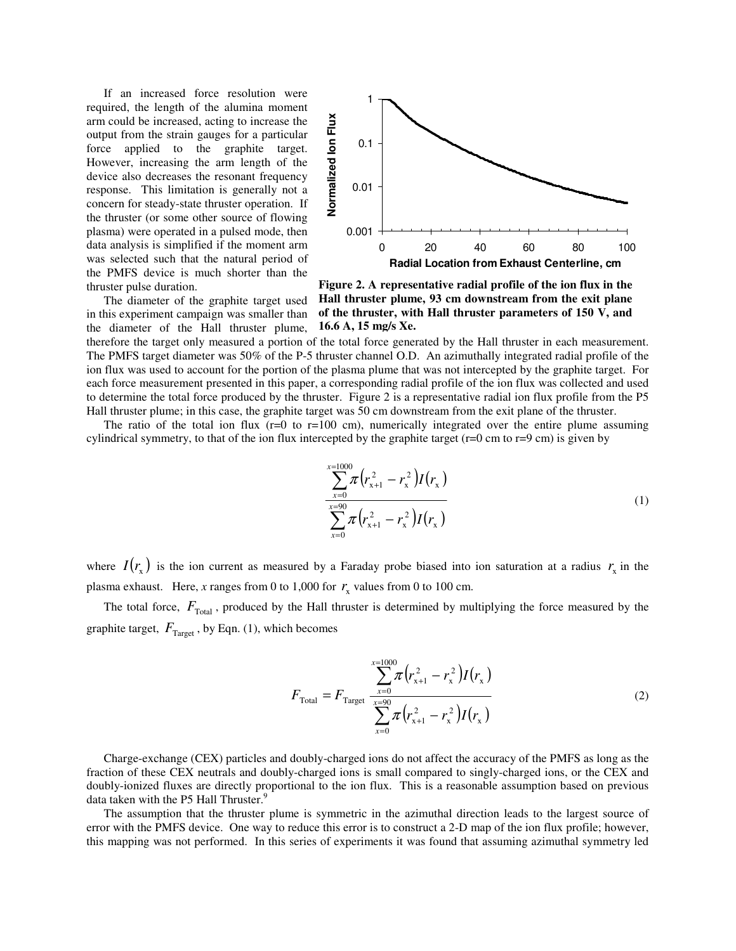If an increased force resolution were required, the length of the alumina moment arm could be increased, acting to increase the output from the strain gauges for a particular force applied to the graphite target. However, increasing the arm length of the device also decreases the resonant frequency response. This limitation is generally not a concern for steady-state thruster operation. If the thruster (or some other source of flowing plasma) were operated in a pulsed mode, then data analysis is simplified if the moment arm was selected such that the natural period of the PMFS device is much shorter than the thruster pulse duration.

 The diameter of the graphite target used in this experiment campaign was smaller than



**Figure 2. A representative radial profile of the ion flux in the Hall thruster plume, 93 cm downstream from the exit plane of the thruster, with Hall thruster parameters of 150 V, and 16.6 A, 15 mg/s Xe.**

the diameter of the Hall thruster plume, therefore the target only measured a portion of the total force generated by the Hall thruster in each measurement. The PMFS target diameter was 50% of the P-5 thruster channel O.D. An azimuthally integrated radial profile of the ion flux was used to account for the portion of the plasma plume that was not intercepted by the graphite target. For each force measurement presented in this paper, a corresponding radial profile of the ion flux was collected and used to determine the total force produced by the thruster. Figure 2 is a representative radial ion flux profile from the P5 Hall thruster plume; in this case, the graphite target was 50 cm downstream from the exit plane of the thruster.

The ratio of the total ion flux  $(r=0)$  to  $r=100$  cm), numerically integrated over the entire plume assuming cylindrical symmetry, to that of the ion flux intercepted by the graphite target  $(r=0 \text{ cm to } r=9 \text{ cm})$  is given by

$$
\frac{\sum_{x=0}^{x=1000} \pi (r_{x+1}^2 - r_x^2) I(r_x)}{\sum_{x=0}^{x=90} \pi (r_{x+1}^2 - r_x^2) I(r_x)}
$$
\n(1)

where  $I(r_x)$  is the ion current as measured by a Faraday probe biased into ion saturation at a radius  $r_x$  in the plasma exhaust. Here, *x* ranges from 0 to 1,000 for  $r_x$  values from 0 to 100 cm.

The total force,  $F_{\text{Total}}$ , produced by the Hall thruster is determined by multiplying the force measured by the graphite target,  $F_{\text{Target}}$ , by Eqn. (1), which becomes

$$
F_{\text{Total}} = F_{\text{Target}} \frac{\sum_{x=0}^{x=1000} \pi (r_{x+1}^2 - r_x^2) I(r_x)}{\sum_{x=0}^{x=90} \pi (r_{x+1}^2 - r_x^2) I(r_x)}
$$
(2)

Charge-exchange (CEX) particles and doubly-charged ions do not affect the accuracy of the PMFS as long as the fraction of these CEX neutrals and doubly-charged ions is small compared to singly-charged ions, or the CEX and doubly-ionized fluxes are directly proportional to the ion flux. This is a reasonable assumption based on previous data taken with the P5 Hall Thruster.<sup>9</sup>

The assumption that the thruster plume is symmetric in the azimuthal direction leads to the largest source of error with the PMFS device. One way to reduce this error is to construct a 2-D map of the ion flux profile; however, this mapping was not performed. In this series of experiments it was found that assuming azimuthal symmetry led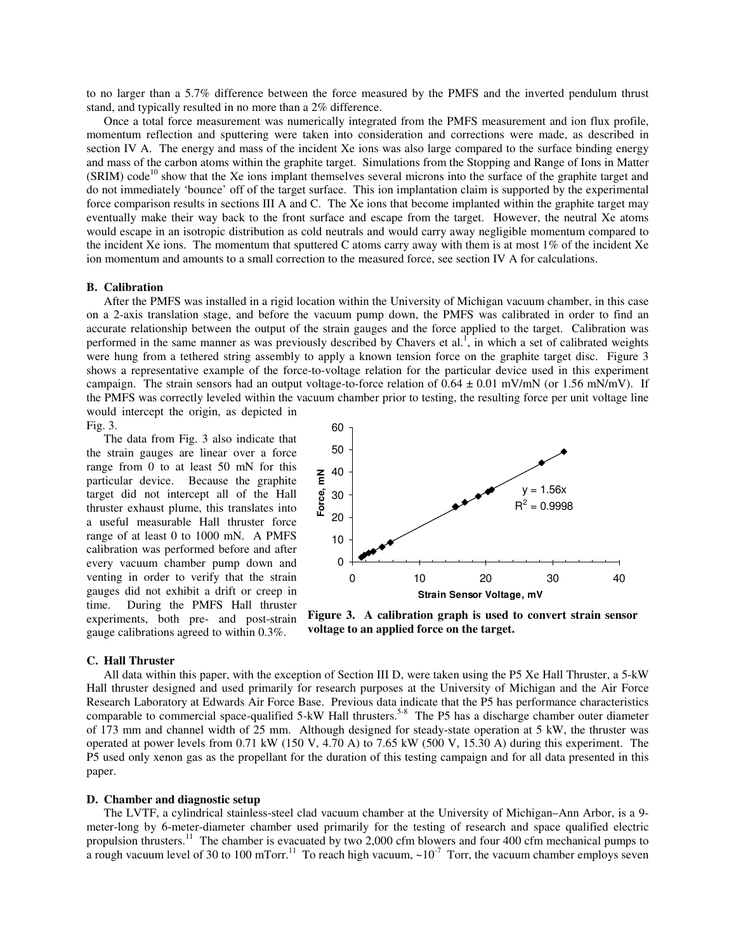to no larger than a 5.7% difference between the force measured by the PMFS and the inverted pendulum thrust stand, and typically resulted in no more than a 2% difference.

Once a total force measurement was numerically integrated from the PMFS measurement and ion flux profile, momentum reflection and sputtering were taken into consideration and corrections were made, as described in section IV A. The energy and mass of the incident Xe ions was also large compared to the surface binding energy and mass of the carbon atoms within the graphite target. Simulations from the Stopping and Range of Ions in Matter  $(SRIM)$  code<sup>10</sup> show that the Xe ions implant themselves several microns into the surface of the graphite target and do not immediately 'bounce' off of the target surface. This ion implantation claim is supported by the experimental force comparison results in sections III A and C. The Xe ions that become implanted within the graphite target may eventually make their way back to the front surface and escape from the target. However, the neutral Xe atoms would escape in an isotropic distribution as cold neutrals and would carry away negligible momentum compared to the incident Xe ions. The momentum that sputtered C atoms carry away with them is at most 1% of the incident Xe ion momentum and amounts to a small correction to the measured force, see section IV A for calculations.

#### **B. Calibration**

After the PMFS was installed in a rigid location within the University of Michigan vacuum chamber, in this case on a 2-axis translation stage, and before the vacuum pump down, the PMFS was calibrated in order to find an accurate relationship between the output of the strain gauges and the force applied to the target. Calibration was performed in the same manner as was previously described by Chavers et al.<sup>1</sup>, in which a set of calibrated weights were hung from a tethered string assembly to apply a known tension force on the graphite target disc. Figure 3 shows a representative example of the force-to-voltage relation for the particular device used in this experiment campaign. The strain sensors had an output voltage-to-force relation of  $0.64 \pm 0.01$  mV/mN (or 1.56 mN/mV). If the PMFS was correctly leveled within the vacuum chamber prior to testing, the resulting force per unit voltage line would intercept the origin, as depicted in

Fig. 3.

The data from Fig. 3 also indicate that the strain gauges are linear over a force range from 0 to at least 50 mN for this particular device. Because the graphite target did not intercept all of the Hall thruster exhaust plume, this translates into a useful measurable Hall thruster force range of at least 0 to 1000 mN. A PMFS calibration was performed before and after every vacuum chamber pump down and venting in order to verify that the strain gauges did not exhibit a drift or creep in time. During the PMFS Hall thruster experiments, both pre- and post-strain gauge calibrations agreed to within 0.3%.



**Figure 3. A calibration graph is used to convert strain sensor voltage to an applied force on the target.** 

## **C. Hall Thruster**

All data within this paper, with the exception of Section III D, were taken using the P5 Xe Hall Thruster, a 5-kW Hall thruster designed and used primarily for research purposes at the University of Michigan and the Air Force Research Laboratory at Edwards Air Force Base. Previous data indicate that the P5 has performance characteristics comparable to commercial space-qualified 5-kW Hall thrusters.<sup>5-8</sup> The P5 has a discharge chamber outer diameter of 173 mm and channel width of 25 mm. Although designed for steady-state operation at 5 kW, the thruster was operated at power levels from 0.71 kW (150 V, 4.70 A) to 7.65 kW (500 V, 15.30 A) during this experiment. The P5 used only xenon gas as the propellant for the duration of this testing campaign and for all data presented in this paper.

#### **D. Chamber and diagnostic setup**

The LVTF, a cylindrical stainless-steel clad vacuum chamber at the University of Michigan–Ann Arbor, is a 9 meter-long by 6-meter-diameter chamber used primarily for the testing of research and space qualified electric propulsion thrusters.<sup>11</sup> The chamber is evacuated by two 2,000 cfm blowers and four 400 cfm mechanical pumps to a rough vacuum level of 30 to 100 mTorr.<sup>11</sup> To reach high vacuum,  $\sim 10^{-7}$  Torr, the vacuum chamber employs seven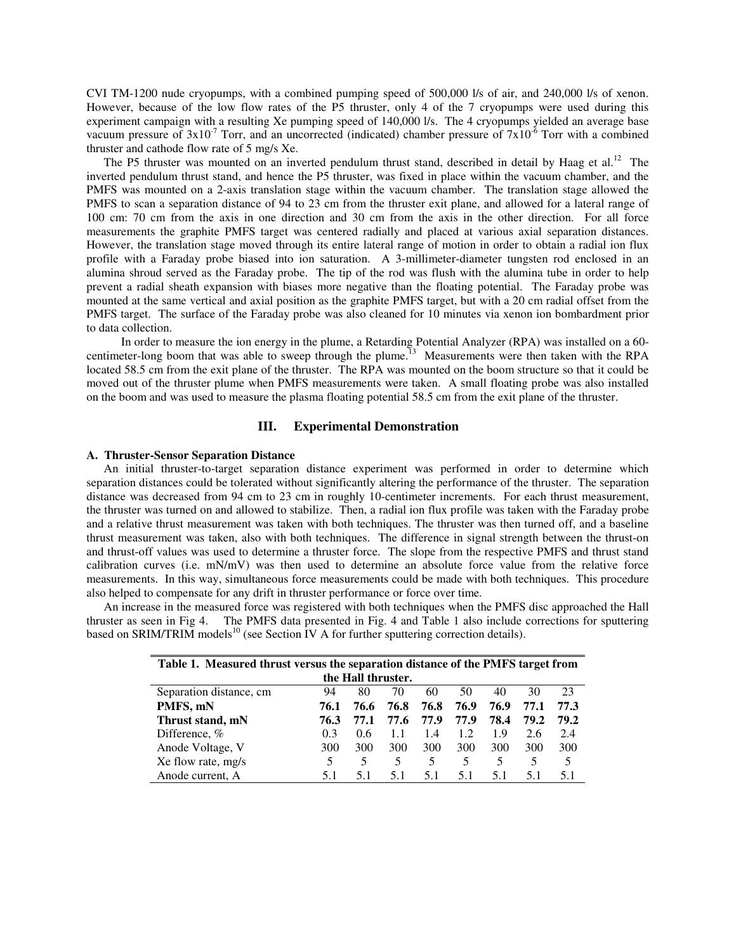CVI TM-1200 nude cryopumps, with a combined pumping speed of 500,000 l/s of air, and 240,000 l/s of xenon. However, because of the low flow rates of the P5 thruster, only 4 of the 7 cryopumps were used during this experiment campaign with a resulting Xe pumping speed of 140,000 l/s. The 4 cryopumps yielded an average base vacuum pressure of  $3x10^{-7}$  Torr, and an uncorrected (indicated) chamber pressure of  $7x10^{-6}$  Torr with a combined thruster and cathode flow rate of 5 mg/s Xe.

The P5 thruster was mounted on an inverted pendulum thrust stand, described in detail by Haag et al.<sup>12</sup> The inverted pendulum thrust stand, and hence the P5 thruster, was fixed in place within the vacuum chamber, and the PMFS was mounted on a 2-axis translation stage within the vacuum chamber. The translation stage allowed the PMFS to scan a separation distance of 94 to 23 cm from the thruster exit plane, and allowed for a lateral range of 100 cm: 70 cm from the axis in one direction and 30 cm from the axis in the other direction. For all force measurements the graphite PMFS target was centered radially and placed at various axial separation distances. However, the translation stage moved through its entire lateral range of motion in order to obtain a radial ion flux profile with a Faraday probe biased into ion saturation. A 3-millimeter-diameter tungsten rod enclosed in an alumina shroud served as the Faraday probe. The tip of the rod was flush with the alumina tube in order to help prevent a radial sheath expansion with biases more negative than the floating potential. The Faraday probe was mounted at the same vertical and axial position as the graphite PMFS target, but with a 20 cm radial offset from the PMFS target. The surface of the Faraday probe was also cleaned for 10 minutes via xenon ion bombardment prior to data collection.

 In order to measure the ion energy in the plume, a Retarding Potential Analyzer (RPA) was installed on a 60 centimeter-long boom that was able to sweep through the plume.<sup>13</sup> Measurements were then taken with the RPA located 58.5 cm from the exit plane of the thruster. The RPA was mounted on the boom structure so that it could be moved out of the thruster plume when PMFS measurements were taken. A small floating probe was also installed on the boom and was used to measure the plasma floating potential 58.5 cm from the exit plane of the thruster.

# **III. Experimental Demonstration**

## **A. Thruster-Sensor Separation Distance**

An initial thruster-to-target separation distance experiment was performed in order to determine which separation distances could be tolerated without significantly altering the performance of the thruster. The separation distance was decreased from 94 cm to 23 cm in roughly 10-centimeter increments. For each thrust measurement, the thruster was turned on and allowed to stabilize. Then, a radial ion flux profile was taken with the Faraday probe and a relative thrust measurement was taken with both techniques. The thruster was then turned off, and a baseline thrust measurement was taken, also with both techniques. The difference in signal strength between the thrust-on and thrust-off values was used to determine a thruster force. The slope from the respective PMFS and thrust stand calibration curves (i.e. mN/mV) was then used to determine an absolute force value from the relative force measurements. In this way, simultaneous force measurements could be made with both techniques. This procedure also helped to compensate for any drift in thruster performance or force over time.

An increase in the measured force was registered with both techniques when the PMFS disc approached the Hall thruster as seen in Fig 4. The PMFS data presented in Fig. 4 and Table 1 also include corrections for sputtering based on SRIM/TRIM models<sup>10</sup> (see Section IV A for further sputtering correction details).

| Table 1. Measured thrust versus the separation distance of the PMFS target from |      |      |      |      |      |      |      |      |  |  |  |
|---------------------------------------------------------------------------------|------|------|------|------|------|------|------|------|--|--|--|
| the Hall thruster.                                                              |      |      |      |      |      |      |      |      |  |  |  |
| Separation distance, cm                                                         | 94   | 80   | 70   | 60   | 50   | 40   | 30   | 23   |  |  |  |
| PMFS, mN                                                                        | 76.1 | 76.6 | 76.8 | 76.8 | 76.9 | 76.9 | 77.1 | 77.3 |  |  |  |
| Thrust stand, mN                                                                | 76.3 | 77.1 | 77.6 | 77.9 | 77.9 | 78.4 | 79.2 | 79.2 |  |  |  |
| Difference, $%$                                                                 | 0.3  | 0.6  | 1.1  | 1.4  | 1.2  | 1.9  | 2.6  | 2.4  |  |  |  |
| Anode Voltage, V                                                                | 300  | 300  | 300  | 300  | 300  | 300  | 300  | 300  |  |  |  |
| Xe flow rate, mg/s                                                              |      | 5    | 5    | 5    | 5    | 5    | 5    | 5    |  |  |  |
| Anode current, A                                                                | 5.1  | 5.1  | 5.1  | 51   | 51   | 5.1  | 51   | 51   |  |  |  |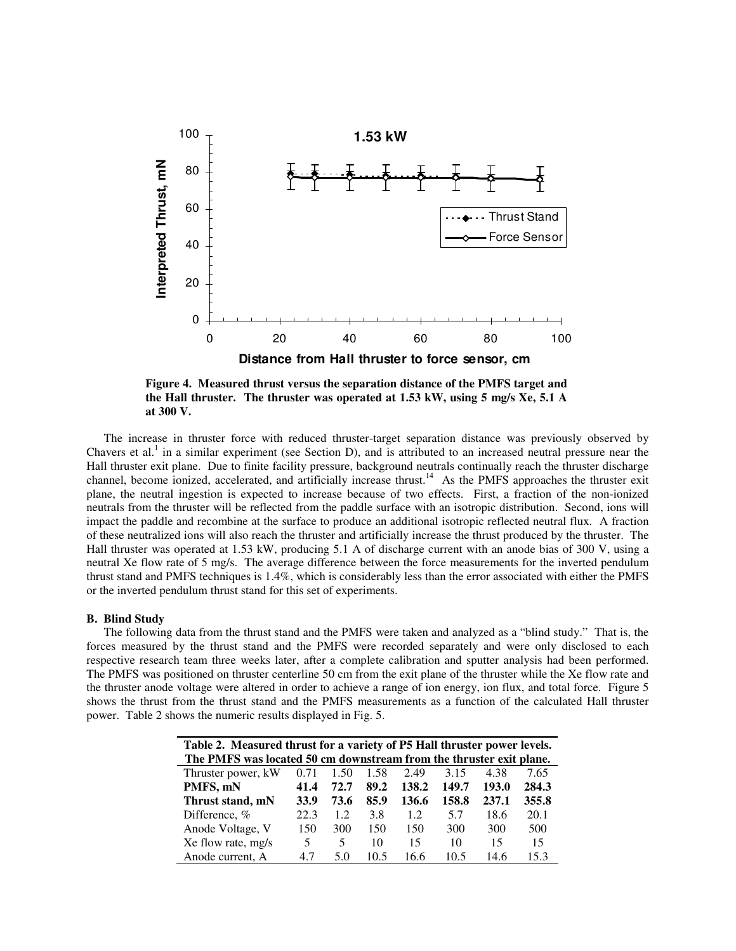

**Figure 4. Measured thrust versus the separation distance of the PMFS target and the Hall thruster. The thruster was operated at 1.53 kW, using 5 mg/s Xe, 5.1 A at 300 V.** 

 The increase in thruster force with reduced thruster-target separation distance was previously observed by Chavers et al.<sup>1</sup> in a similar experiment (see Section D), and is attributed to an increased neutral pressure near the Hall thruster exit plane. Due to finite facility pressure, background neutrals continually reach the thruster discharge channel, become ionized, accelerated, and artificially increase thrust.<sup>14</sup> As the PMFS approaches the thruster exit plane, the neutral ingestion is expected to increase because of two effects. First, a fraction of the non-ionized neutrals from the thruster will be reflected from the paddle surface with an isotropic distribution. Second, ions will impact the paddle and recombine at the surface to produce an additional isotropic reflected neutral flux. A fraction of these neutralized ions will also reach the thruster and artificially increase the thrust produced by the thruster. The Hall thruster was operated at 1.53 kW, producing 5.1 A of discharge current with an anode bias of 300 V, using a neutral Xe flow rate of 5 mg/s. The average difference between the force measurements for the inverted pendulum thrust stand and PMFS techniques is 1.4%, which is considerably less than the error associated with either the PMFS or the inverted pendulum thrust stand for this set of experiments.

#### **B. Blind Study**

The following data from the thrust stand and the PMFS were taken and analyzed as a "blind study." That is, the forces measured by the thrust stand and the PMFS were recorded separately and were only disclosed to each respective research team three weeks later, after a complete calibration and sputter analysis had been performed. The PMFS was positioned on thruster centerline 50 cm from the exit plane of the thruster while the Xe flow rate and the thruster anode voltage were altered in order to achieve a range of ion energy, ion flux, and total force. Figure 5 shows the thrust from the thrust stand and the PMFS measurements as a function of the calculated Hall thruster power. Table 2 shows the numeric results displayed in Fig. 5.

| Table 2. Measured thrust for a variety of P5 Hall thruster power levels. |      |      |      |       |       |       |       |  |  |  |
|--------------------------------------------------------------------------|------|------|------|-------|-------|-------|-------|--|--|--|
| The PMFS was located 50 cm downstream from the thruster exit plane.      |      |      |      |       |       |       |       |  |  |  |
| Thruster power, kW                                                       | 0.71 | 1.50 | 1.58 | 2.49  | 3.15  | 4.38  | 7.65  |  |  |  |
| PMFS, mN                                                                 | 41.4 | 72.7 | 89.2 | 138.2 | 149.7 | 193.0 | 284.3 |  |  |  |
| Thrust stand, mN                                                         | 33.9 | 73.6 | 85.9 | 136.6 | 158.8 | 237.1 | 355.8 |  |  |  |
| Difference, %                                                            | 22.3 | 1.2. | 3.8  | 1.2.  | 5.7   | 18.6  | 20.1  |  |  |  |
| Anode Voltage, V                                                         | 150  | 300  | 150  | 150   | 300   | 300   | 500   |  |  |  |
| Xe flow rate, mg/s                                                       | 5    | 5    | 10   | 15    | 10    | 15    | 15    |  |  |  |
| Anode current, A                                                         | 4.7  | 5.0  | 10.5 | 16 6  | 10.5  | 14.6  | 15.3  |  |  |  |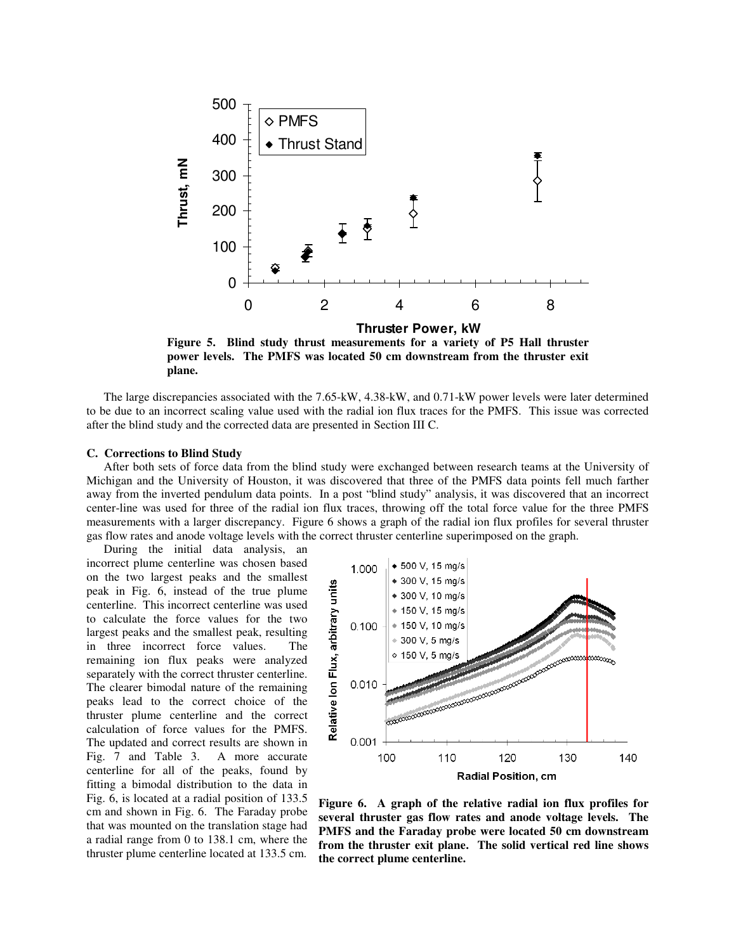

**Figure 5. Blind study thrust measurements for a variety of P5 Hall thruster power levels. The PMFS was located 50 cm downstream from the thruster exit plane.** 

The large discrepancies associated with the 7.65-kW, 4.38-kW, and 0.71-kW power levels were later determined to be due to an incorrect scaling value used with the radial ion flux traces for the PMFS. This issue was corrected after the blind study and the corrected data are presented in Section III C.

# **C. Corrections to Blind Study**

After both sets of force data from the blind study were exchanged between research teams at the University of Michigan and the University of Houston, it was discovered that three of the PMFS data points fell much farther away from the inverted pendulum data points. In a post "blind study" analysis, it was discovered that an incorrect center-line was used for three of the radial ion flux traces, throwing off the total force value for the three PMFS measurements with a larger discrepancy. Figure 6 shows a graph of the radial ion flux profiles for several thruster gas flow rates and anode voltage levels with the correct thruster centerline superimposed on the graph.

 During the initial data analysis, an incorrect plume centerline was chosen based on the two largest peaks and the smallest peak in Fig. 6, instead of the true plume centerline. This incorrect centerline was used to calculate the force values for the two largest peaks and the smallest peak, resulting in three incorrect force values. The remaining ion flux peaks were analyzed separately with the correct thruster centerline. The clearer bimodal nature of the remaining peaks lead to the correct choice of the thruster plume centerline and the correct calculation of force values for the PMFS. The updated and correct results are shown in Fig. 7 and Table 3. A more accurate centerline for all of the peaks, found by fitting a bimodal distribution to the data in Fig. 6, is located at a radial position of 133.5 cm and shown in Fig. 6. The Faraday probe that was mounted on the translation stage had a radial range from 0 to 138.1 cm, where the thruster plume centerline located at 133.5 cm.



**Figure 6. A graph of the relative radial ion flux profiles for several thruster gas flow rates and anode voltage levels. The PMFS and the Faraday probe were located 50 cm downstream from the thruster exit plane. The solid vertical red line shows the correct plume centerline.**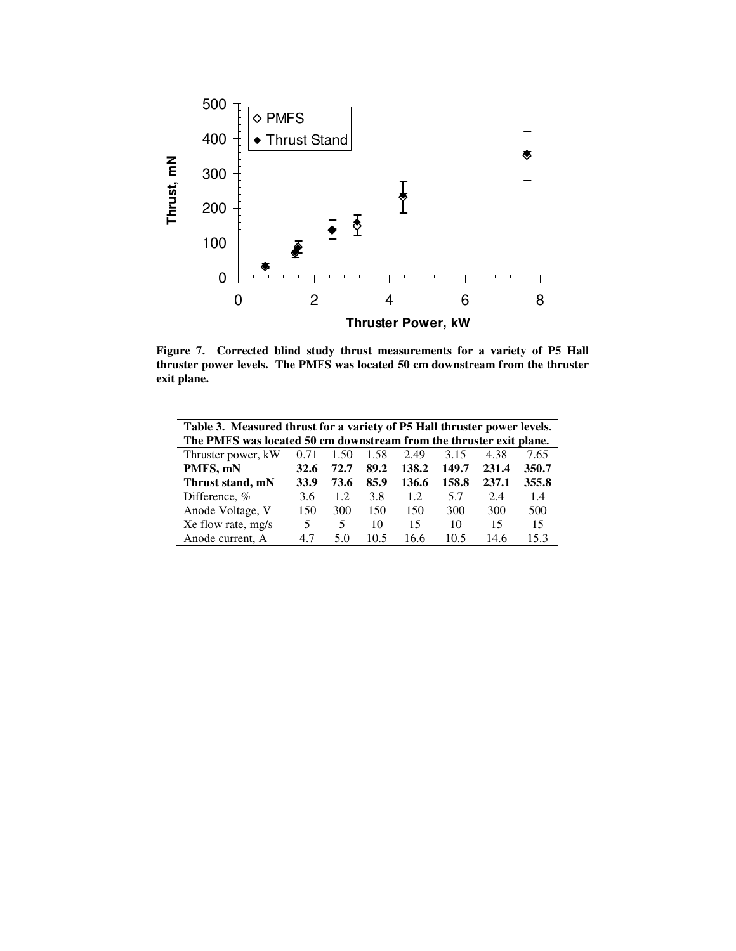

**Figure 7. Corrected blind study thrust measurements for a variety of P5 Hall thruster power levels. The PMFS was located 50 cm downstream from the thruster exit plane.** 

| Table 3. Measured thrust for a variety of P5 Hall thruster power levels. |      |      |      |       |       |       |       |  |  |
|--------------------------------------------------------------------------|------|------|------|-------|-------|-------|-------|--|--|
| The PMFS was located 50 cm downstream from the thruster exit plane.      |      |      |      |       |       |       |       |  |  |
| Thruster power, kW                                                       | 0.71 | 1.50 | 1.58 | 2.49  | 3.15  | 4.38  | 7.65  |  |  |
| PMFS, mN                                                                 | 32.6 | 72.7 | 89.2 | 138.2 | 149.7 | 231.4 | 350.7 |  |  |
| Thrust stand, mN                                                         | 33.9 | 73.6 | 85.9 | 136.6 | 158.8 | 237.1 | 355.8 |  |  |
| Difference, %                                                            | 3.6  | 1.2  | 3.8  | 1.2   | 5.7   | 2.4   | 1.4   |  |  |
| Anode Voltage, V                                                         | 150  | 300  | 150  | 150   | 300   | 300   | 500   |  |  |
| Xe flow rate, mg/s                                                       | 5    | 5    | 10   | 15    | 10    | 15    | 15    |  |  |
| Anode current, A                                                         | 4.7  | 5.0  | 10.5 | 16.6  | 10.5  | 14.6  | 15.3  |  |  |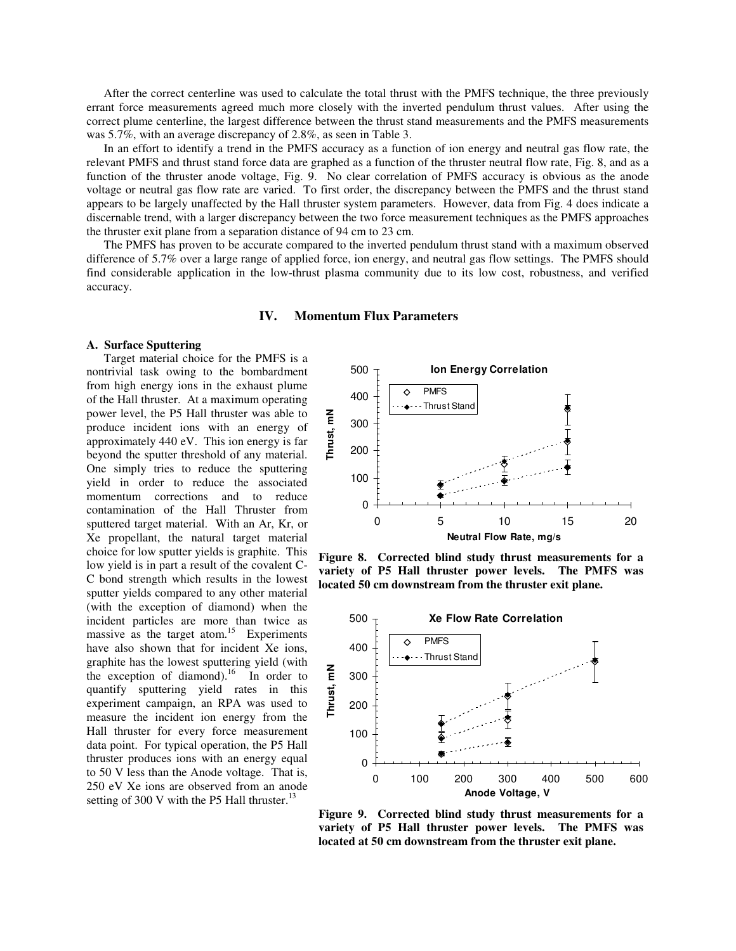After the correct centerline was used to calculate the total thrust with the PMFS technique, the three previously errant force measurements agreed much more closely with the inverted pendulum thrust values. After using the correct plume centerline, the largest difference between the thrust stand measurements and the PMFS measurements was 5.7%, with an average discrepancy of 2.8%, as seen in Table 3.

In an effort to identify a trend in the PMFS accuracy as a function of ion energy and neutral gas flow rate, the relevant PMFS and thrust stand force data are graphed as a function of the thruster neutral flow rate, Fig. 8, and as a function of the thruster anode voltage, Fig. 9. No clear correlation of PMFS accuracy is obvious as the anode voltage or neutral gas flow rate are varied. To first order, the discrepancy between the PMFS and the thrust stand appears to be largely unaffected by the Hall thruster system parameters. However, data from Fig. 4 does indicate a discernable trend, with a larger discrepancy between the two force measurement techniques as the PMFS approaches the thruster exit plane from a separation distance of 94 cm to 23 cm.

The PMFS has proven to be accurate compared to the inverted pendulum thrust stand with a maximum observed difference of 5.7% over a large range of applied force, ion energy, and neutral gas flow settings. The PMFS should find considerable application in the low-thrust plasma community due to its low cost, robustness, and verified accuracy.

# **IV. Momentum Flux Parameters**

### **A. Surface Sputtering**

Target material choice for the PMFS is a nontrivial task owing to the bombardment from high energy ions in the exhaust plume of the Hall thruster. At a maximum operating power level, the P5 Hall thruster was able to produce incident ions with an energy of approximately 440 eV. This ion energy is far beyond the sputter threshold of any material. One simply tries to reduce the sputtering yield in order to reduce the associated momentum corrections and to reduce contamination of the Hall Thruster from sputtered target material. With an Ar, Kr, or Xe propellant, the natural target material choice for low sputter yields is graphite. This low yield is in part a result of the covalent C-C bond strength which results in the lowest sputter yields compared to any other material (with the exception of diamond) when the incident particles are more than twice as massive as the target atom.<sup>15</sup> Experiments have also shown that for incident Xe ions, graphite has the lowest sputtering yield (with the exception of diamond).<sup>16</sup> In order to quantify sputtering yield rates in this experiment campaign, an RPA was used to measure the incident ion energy from the Hall thruster for every force measurement data point. For typical operation, the P5 Hall thruster produces ions with an energy equal to 50 V less than the Anode voltage. That is, 250 eV Xe ions are observed from an anode setting of 300 V with the P5 Hall thruster. $^{13}$ 



**Figure 8. Corrected blind study thrust measurements for a variety of P5 Hall thruster power levels. The PMFS was located 50 cm downstream from the thruster exit plane.** 



**Figure 9. Corrected blind study thrust measurements for a variety of P5 Hall thruster power levels. The PMFS was located at 50 cm downstream from the thruster exit plane.**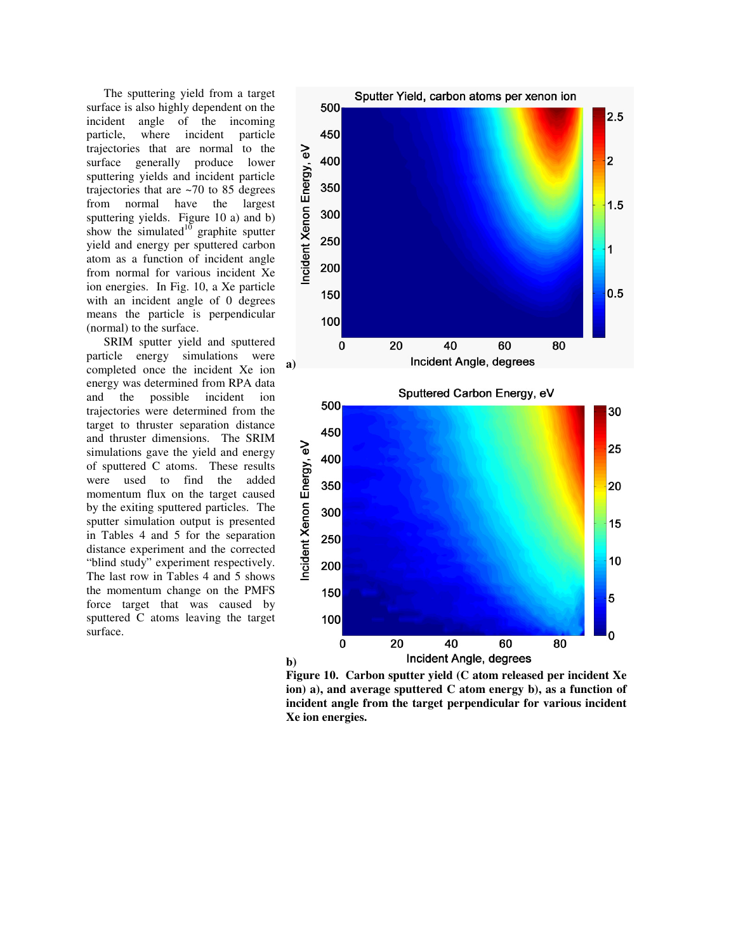The sputtering yield from a target surface is also highly dependent on the incident angle of the incoming particle, where incident particle trajectories that are normal to the surface generally produce lower sputtering yields and incident particle trajectories that are ~70 to 85 degrees from normal have the largest sputtering yields. Figure 10 a) and b) show the simulated $10$  graphite sputter yield and energy per sputtered carbon atom as a function of incident angle from normal for various incident Xe ion energies. In Fig. 10, a Xe particle with an incident angle of 0 degrees means the particle is perpendicular (normal) to the surface.

SRIM sputter yield and sputtered particle energy simulations were completed once the incident Xe ion energy was determined from RPA data and the possible incident ion trajectories were determined from the target to thruster separation distance and thruster dimensions. The SRIM simulations gave the yield and energy of sputtered C atoms. These results were used to find the added momentum flux on the target caused by the exiting sputtered particles. The sputter simulation output is presented in Tables 4 and 5 for the separation distance experiment and the corrected "blind study" experiment respectively. The last row in Tables 4 and 5 shows the momentum change on the PMFS force target that was caused by sputtered C atoms leaving the target surface.



**Figure 10. Carbon sputter yield (C atom released per incident Xe ion) a), and average sputtered C atom energy b), as a function of incident angle from the target perpendicular for various incident Xe ion energies.**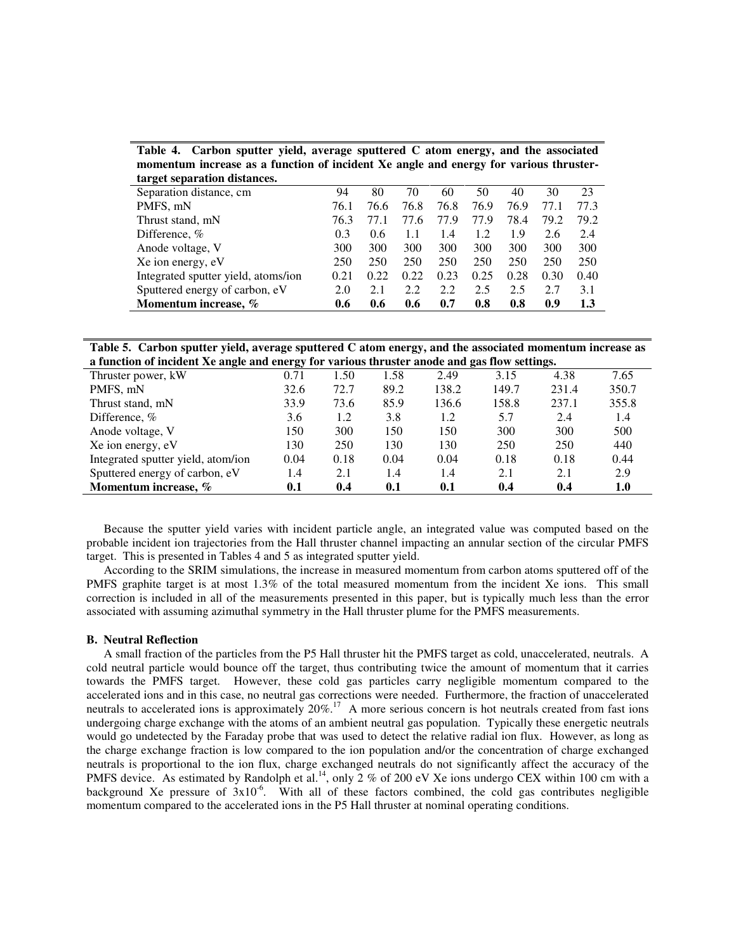**Table 4. Carbon sputter yield, average sputtered C atom energy, and the associated momentum increase as a function of incident Xe angle and energy for various thrustertarget separation distances.** 

| target separation distances.        |      |      |      |      |      |      |      |      |
|-------------------------------------|------|------|------|------|------|------|------|------|
| Separation distance, cm             | 94   | 80   | 70   | 60   | 50   | 40   | 30   | 23   |
| PMFS, mN                            | 76.1 | 76.6 | 76.8 | 76.8 | 76.9 | 76.9 | 77.1 | 77.3 |
| Thrust stand, mN                    | 76.3 | 77.1 | 77.6 | 77.9 | 77.9 | 78.4 | 79.2 | 79.2 |
| Difference, $%$                     | 0.3  | 0.6  | 1.1  | 1.4  | 1.2  | 1.9  | 2.6  | 2.4  |
| Anode voltage, V                    | 300  | 300  | 300  | 300  | 300  | 300  | 300  | 300  |
| Xe ion energy, eV                   | 250  | 250  | 250  | 250  | 250  | 250  | 250  | 250  |
| Integrated sputter yield, atoms/ion | 0.21 | 0.22 | 0.22 | 0.23 | 0.25 | 0.28 | 0.30 | 0.40 |
| Sputtered energy of carbon, eV      | 2.0  | 2.1  | 2.2  | 2.2  | 2.5  | 2.5  | 2.7  | 3.1  |
| Momentum increase. %                | 0.6  | 0.6  | 0.6  | 0.7  | 0.8  | 0.8  | 0.9  | 1.3  |
|                                     |      |      |      |      |      |      |      |      |

| Table 5. Carbon sputter yield, average sputtered C atom energy, and the associated momentum increase as |
|---------------------------------------------------------------------------------------------------------|
| a function of incident Xe angle and energy for various thruster anode and gas flow settings.            |

| a ranchon or menent ise angre and energy for various an aster anoue and gas from settings. |      |      |      |       |       |       |       |
|--------------------------------------------------------------------------------------------|------|------|------|-------|-------|-------|-------|
| Thruster power, kW                                                                         | 0.71 | 1.50 | 1.58 | 2.49  | 3.15  | 4.38  | 7.65  |
| PMFS, mN                                                                                   | 32.6 | 72.7 | 89.2 | 138.2 | 149.7 | 231.4 | 350.7 |
| Thrust stand, mN                                                                           | 33.9 | 73.6 | 85.9 | 136.6 | 158.8 | 237.1 | 355.8 |
| Difference, $%$                                                                            | 3.6  | 1.2  | 3.8  | 1.2   | 5.7   | 2.4   | 1.4   |
| Anode voltage, V                                                                           | 150  | 300  | 150  | 150   | 300   | 300   | 500   |
| Xe ion energy, eV                                                                          | 130  | 250  | 130  | 130   | 250   | 250   | 440   |
| Integrated sputter yield, atom/ion                                                         | 0.04 | 0.18 | 0.04 | 0.04  | 0.18  | 0.18  | 0.44  |
| Sputtered energy of carbon, eV                                                             | 1.4  | 2.1  | 1.4  | 1.4   | 2.1   | 2.1   | 2.9   |
| Momentum increase, %                                                                       | 0.1  | 0.4  | 0.1  | 0.1   | 0.4   | 0.4   | 1.0   |

 Because the sputter yield varies with incident particle angle, an integrated value was computed based on the probable incident ion trajectories from the Hall thruster channel impacting an annular section of the circular PMFS target. This is presented in Tables 4 and 5 as integrated sputter yield.

According to the SRIM simulations, the increase in measured momentum from carbon atoms sputtered off of the PMFS graphite target is at most 1.3% of the total measured momentum from the incident Xe ions. This small correction is included in all of the measurements presented in this paper, but is typically much less than the error associated with assuming azimuthal symmetry in the Hall thruster plume for the PMFS measurements.

#### **B. Neutral Reflection**

A small fraction of the particles from the P5 Hall thruster hit the PMFS target as cold, unaccelerated, neutrals. A cold neutral particle would bounce off the target, thus contributing twice the amount of momentum that it carries towards the PMFS target. However, these cold gas particles carry negligible momentum compared to the accelerated ions and in this case, no neutral gas corrections were needed. Furthermore, the fraction of unaccelerated neutrals to accelerated ions is approximately 20%.<sup>17</sup> A more serious concern is hot neutrals created from fast ions undergoing charge exchange with the atoms of an ambient neutral gas population. Typically these energetic neutrals would go undetected by the Faraday probe that was used to detect the relative radial ion flux. However, as long as the charge exchange fraction is low compared to the ion population and/or the concentration of charge exchanged neutrals is proportional to the ion flux, charge exchanged neutrals do not significantly affect the accuracy of the PMFS device. As estimated by Randolph et al.<sup>14</sup>, only 2 % of 200 eV Xe ions undergo CEX within 100 cm with a background Xe pressure of  $3x10^{-6}$ . With all of these factors combined, the cold gas contributes negligible momentum compared to the accelerated ions in the P5 Hall thruster at nominal operating conditions.